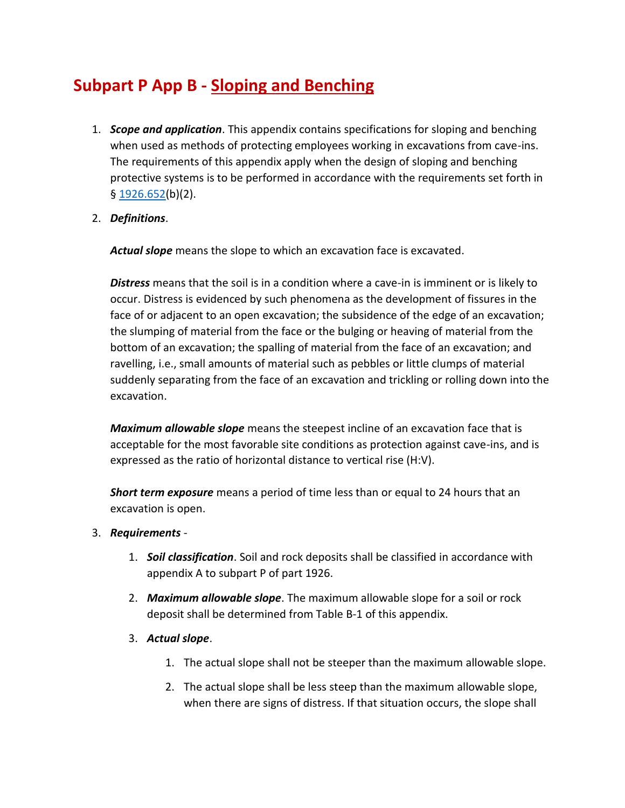# **Subpart P App B - Sloping and Benching**

- 1. *Scope and application*. This appendix contains specifications for sloping and benching when used as methods of protecting employees working in excavations from cave-ins. The requirements of this appendix apply when the design of sloping and benching protective systems is to be performed in accordance with the requirements set forth in  $§$  [1926.652\(](https://up.codes/viewer/osha-1926-construction/chapter/P/excavations#1926.652)b)(2).
- 2. *Definitions*.

*Actual slope* means the slope to which an excavation face is excavated.

*Distress* means that the soil is in a condition where a cave-in is imminent or is likely to occur. Distress is evidenced by such phenomena as the development of fissures in the face of or adjacent to an open excavation; the subsidence of the edge of an excavation; the slumping of material from the face or the bulging or heaving of material from the bottom of an excavation; the spalling of material from the face of an excavation; and ravelling, i.e., small amounts of material such as pebbles or little clumps of material suddenly separating from the face of an excavation and trickling or rolling down into the excavation.

*Maximum allowable slope* means the steepest incline of an excavation face that is acceptable for the most favorable site conditions as protection against cave-ins, and is expressed as the ratio of horizontal distance to vertical rise (H:V).

*Short term exposure* means a period of time less than or equal to 24 hours that an excavation is open.

- 3. *Requirements*
	- 1. *Soil classification*. Soil and rock deposits shall be classified in accordance with appendix A to subpart P of part 1926.
	- 2. *Maximum allowable slope*. The maximum allowable slope for a soil or rock deposit shall be determined from Table B-1 of this appendix.
	- 3. *Actual slope*.
		- 1. The actual slope shall not be steeper than the maximum allowable slope.
		- 2. The actual slope shall be less steep than the maximum allowable slope, when there are signs of distress. If that situation occurs, the slope shall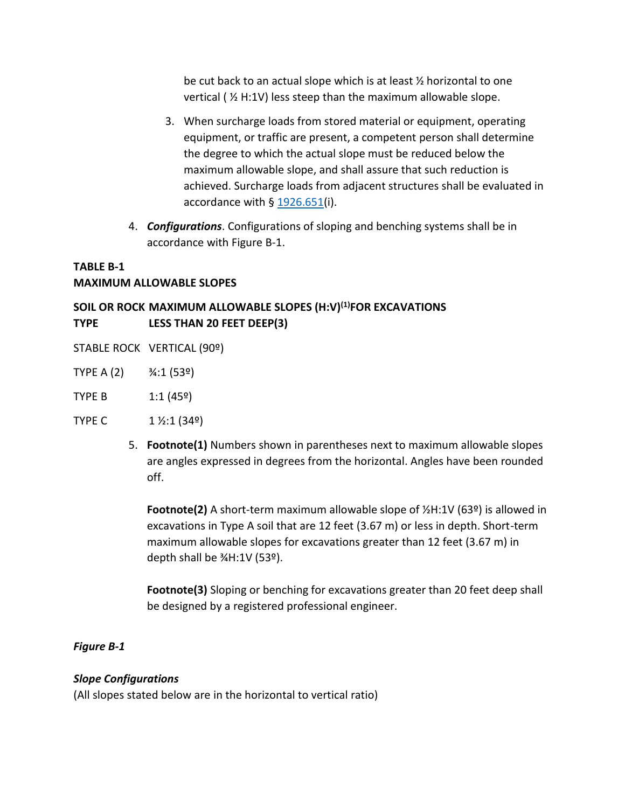be cut back to an actual slope which is at least ½ horizontal to one vertical ( ½ H:1V) less steep than the maximum allowable slope.

- 3. When surcharge loads from stored material or equipment, operating equipment, or traffic are present, a competent person shall determine the degree to which the actual slope must be reduced below the maximum allowable slope, and shall assure that such reduction is achieved. Surcharge loads from adjacent structures shall be evaluated in accordance with § [1926.651\(](https://up.codes/viewer/osha-1926-construction/chapter/P/excavations#1926.651)i).
- 4. *Configurations*. Configurations of sloping and benching systems shall be in accordance with Figure B-1.

## **TABLE B-1 MAXIMUM ALLOWABLE SLOPES**

#### **SOIL OR ROCK MAXIMUM ALLOWABLE SLOPES (H:V)(1)FOR EXCAVATIONS TYPE LESS THAN 20 FEET DEEP(3)**

STABLE ROCK VERTICAL (90º)

TYPE A  $(2)$   $\frac{3}{4}$ :1 (53<sup>o</sup>)

TYPE B  $1:1(45<sup>°</sup>)$ 

TYPE C 1 ½:1 (34º)

5. **Footnote(1)** Numbers shown in parentheses next to maximum allowable slopes are angles expressed in degrees from the horizontal. Angles have been rounded off.

**Footnote(2)** A short-term maximum allowable slope of ½H:1V (63º) is allowed in excavations in Type A soil that are 12 feet (3.67 m) or less in depth. Short-term maximum allowable slopes for excavations greater than 12 feet (3.67 m) in depth shall be ¾H:1V (53º).

**Footnote(3)** Sloping or benching for excavations greater than 20 feet deep shall be designed by a registered professional engineer.

### *Figure B-1*

### *Slope Configurations*

(All slopes stated below are in the horizontal to vertical ratio)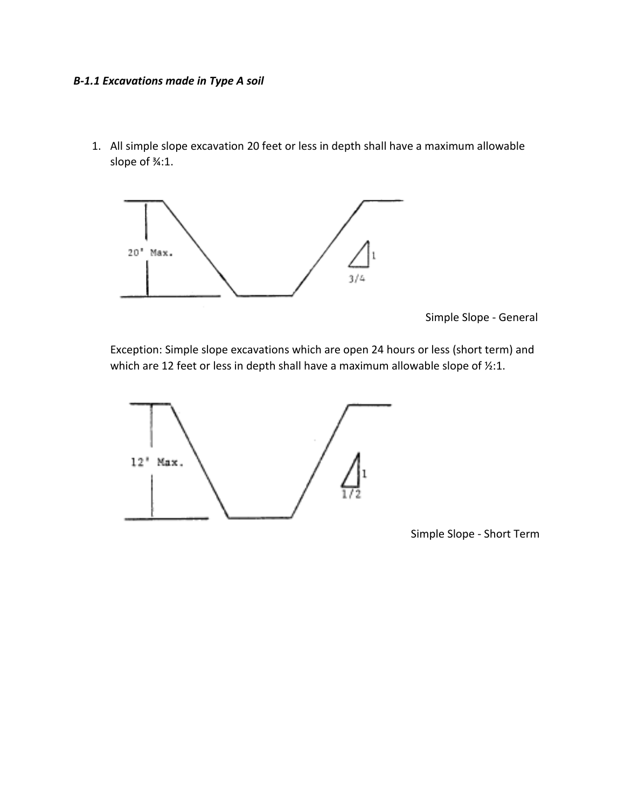#### *B-1.1 Excavations made in Type A soil*

1. All simple slope excavation 20 feet or less in depth shall have a maximum allowable slope of ¾:1.



Simple Slope - General

Exception: Simple slope excavations which are open 24 hours or less (short term) and which are 12 feet or less in depth shall have a maximum allowable slope of  $\frac{1}{2}$ :1.



Simple Slope - Short Term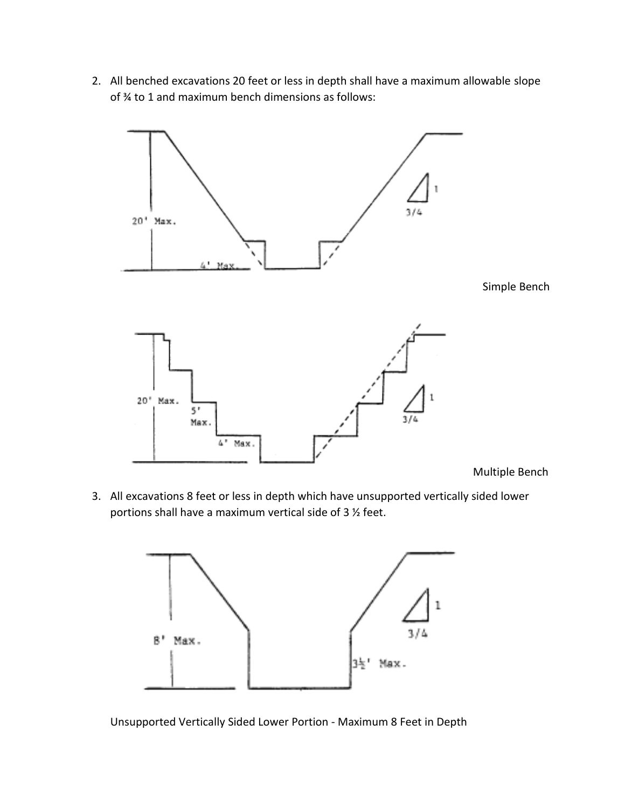2. All benched excavations 20 feet or less in depth shall have a maximum allowable slope of ¾ to 1 and maximum bench dimensions as follows:



3. All excavations 8 feet or less in depth which have unsupported vertically sided lower portions shall have a maximum vertical side of 3 ½ feet.



Unsupported Vertically Sided Lower Portion - Maximum 8 Feet in Depth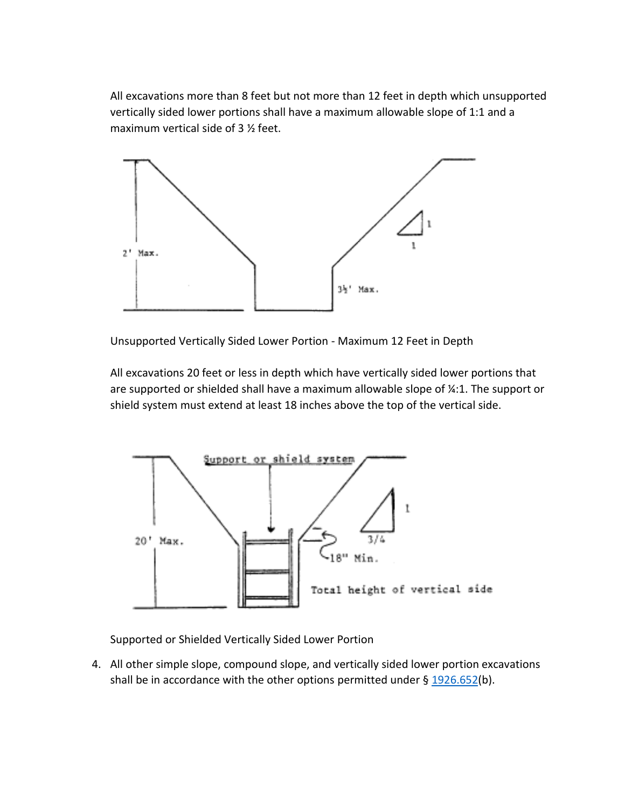All excavations more than 8 feet but not more than 12 feet in depth which unsupported vertically sided lower portions shall have a maximum allowable slope of 1:1 and a maximum vertical side of 3 ½ feet.



Unsupported Vertically Sided Lower Portion - Maximum 12 Feet in Depth

All excavations 20 feet or less in depth which have vertically sided lower portions that are supported or shielded shall have a maximum allowable slope of ¼:1. The support or shield system must extend at least 18 inches above the top of the vertical side.



Supported or Shielded Vertically Sided Lower Portion

4. All other simple slope, compound slope, and vertically sided lower portion excavations shall be in accordance with the other options permitted under  $\S$  [1926.652\(](https://up.codes/viewer/osha-1926-construction/chapter/P/excavations#1926.652)b).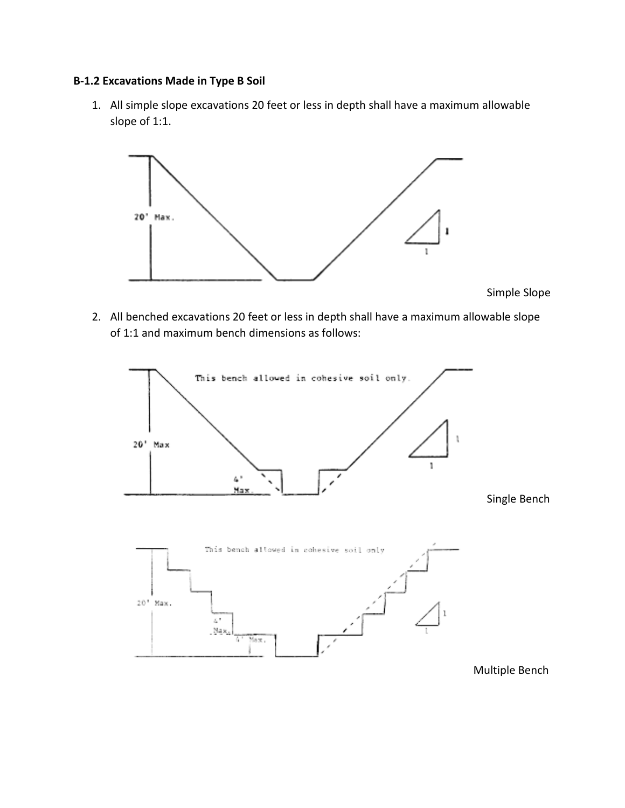#### **B-1.2 Excavations Made in Type B Soil**

1. All simple slope excavations 20 feet or less in depth shall have a maximum allowable slope of 1:1.



Simple Slope

2. All benched excavations 20 feet or less in depth shall have a maximum allowable slope of 1:1 and maximum bench dimensions as follows:





Multiple Bench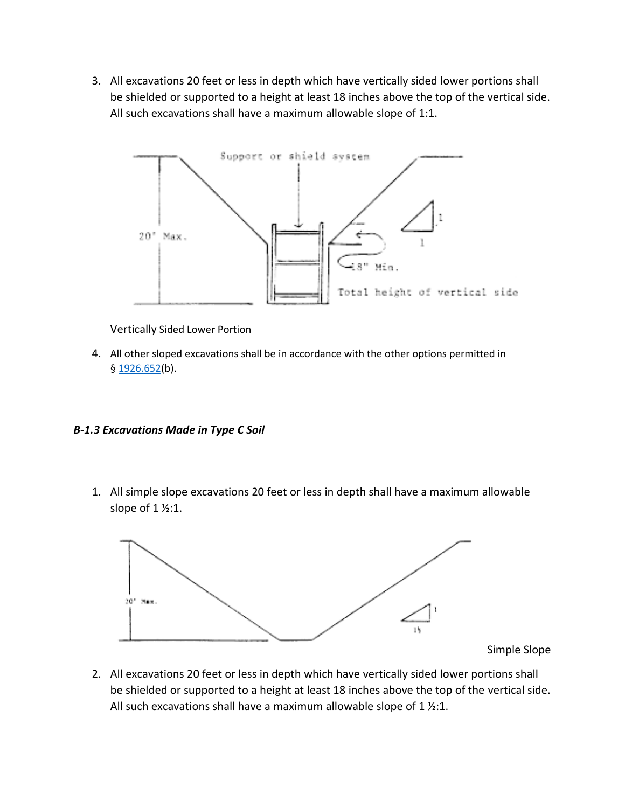3. All excavations 20 feet or less in depth which have vertically sided lower portions shall be shielded or supported to a height at least 18 inches above the top of the vertical side. All such excavations shall have a maximum allowable slope of 1:1.



Vertically Sided Lower Portion

4. All other sloped excavations shall be in accordance with the other options permitted in § [1926.652\(](https://up.codes/viewer/osha-1926-construction/chapter/P/excavations#1926.652)b).

### *B-1.3 Excavations Made in Type C Soil*

1. All simple slope excavations 20 feet or less in depth shall have a maximum allowable slope of 1 ½:1.



Simple Slope

2. All excavations 20 feet or less in depth which have vertically sided lower portions shall be shielded or supported to a height at least 18 inches above the top of the vertical side. All such excavations shall have a maximum allowable slope of  $1\frac{1}{2}$ :1.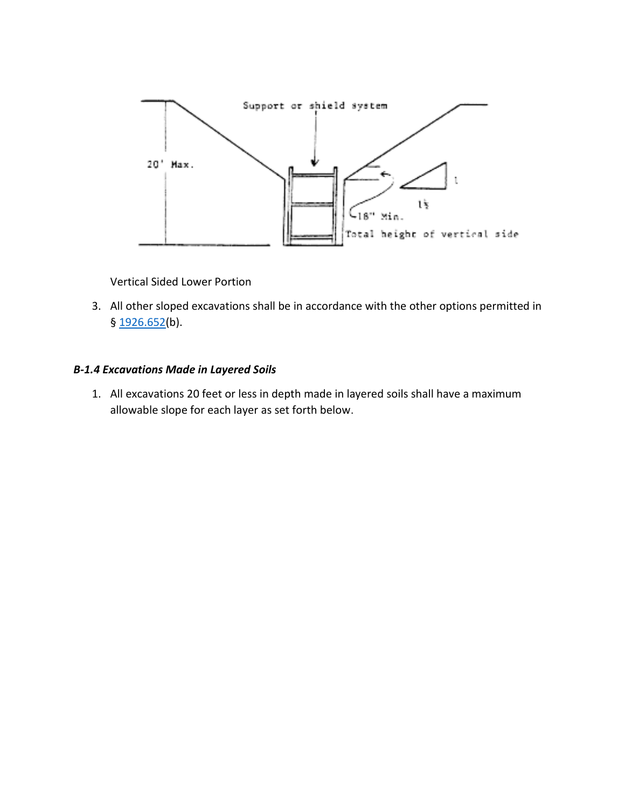

Vertical Sided Lower Portion

3. All other sloped excavations shall be in accordance with the other options permitted in  $§$  [1926.652\(](https://up.codes/viewer/osha-1926-construction/chapter/P/excavations#1926.652)b).

#### *B-1.4 Excavations Made in Layered Soils*

1. All excavations 20 feet or less in depth made in layered soils shall have a maximum allowable slope for each layer as set forth below.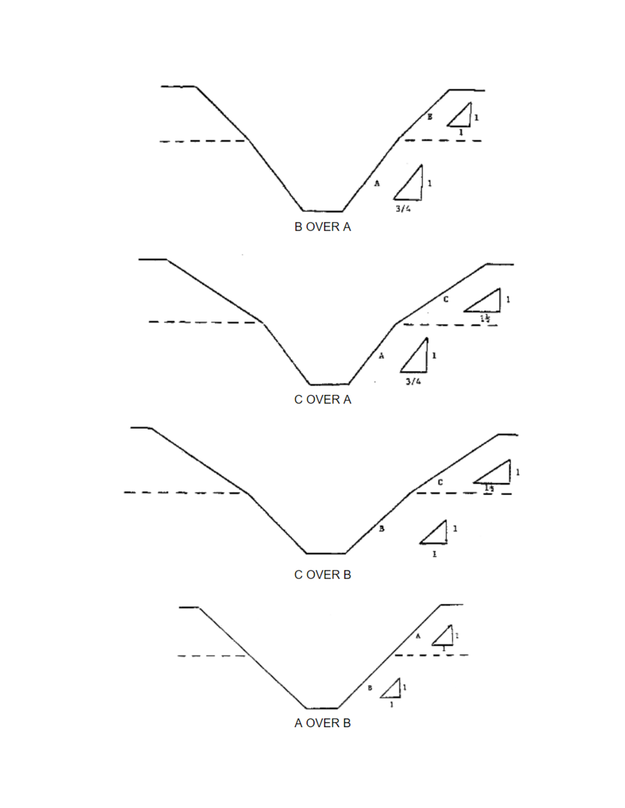